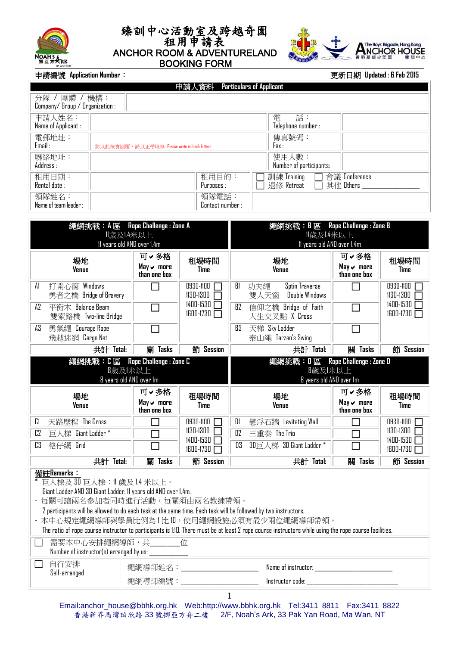





## **申請編號 Application Number:**

|  | 更新日期 Updated: 6 Feb 2015 |
|--|--------------------------|
|--|--------------------------|

| 申請人資料 Particulars of Applicant                  |                                              |                           |                                                         |  |  |  |  |  |  |  |
|-------------------------------------------------|----------------------------------------------|---------------------------|---------------------------------------------------------|--|--|--|--|--|--|--|
| 分隊 / 團體 / 機構:<br>Company/Group / Organization : |                                              |                           |                                                         |  |  |  |  |  |  |  |
| 申請人姓名:<br>Name of Applicant :                   |                                              |                           | 話:<br>電<br>Telephone number :                           |  |  |  |  |  |  |  |
| 電郵地址:<br>Email:                                 | 將以此核實回覆,請以正楷填寫 Please write in block letters |                           | 傳真號碼:<br>Fax:                                           |  |  |  |  |  |  |  |
| 聯絡地址:<br>Address:                               |                                              |                           | 使用人數:<br>Number of participants:                        |  |  |  |  |  |  |  |
| 租用日期:<br>Rental date :                          |                                              | 租用目的:<br>Purposes :       | 會議 Conference<br>訓練 Training<br>退修 Retreat<br>其他 Others |  |  |  |  |  |  |  |
| 領隊姓名:<br>Name of team leader :                  |                                              | 領隊電話:<br>Contact number : |                                                         |  |  |  |  |  |  |  |

| 繩網挑戰: A 區 Rope Challenge : Zone A                                                                                                                                                                                                                                                                                                                                                                                                                                                             |                                           |                                 |                                                                         |                                           |                            |  |  |  |  |  |
|-----------------------------------------------------------------------------------------------------------------------------------------------------------------------------------------------------------------------------------------------------------------------------------------------------------------------------------------------------------------------------------------------------------------------------------------------------------------------------------------------|-------------------------------------------|---------------------------------|-------------------------------------------------------------------------|-------------------------------------------|----------------------------|--|--|--|--|--|
|                                                                                                                                                                                                                                                                                                                                                                                                                                                                                               | 歲及!.4米以上                                  |                                 | 繩網挑戰:B區 Rope Challenge : Zone B<br>  歲及!.4米以上                           |                                           |                            |  |  |  |  |  |
|                                                                                                                                                                                                                                                                                                                                                                                                                                                                                               | 11 years old AND over 1.4m                |                                 | 11 years old AND over 1.4m                                              |                                           |                            |  |  |  |  |  |
| 場地<br><b>Venue</b>                                                                                                                                                                                                                                                                                                                                                                                                                                                                            | 可∨多格<br>May ~ more<br>than one box        | 租場時間<br>Time                    | 場地<br><b>Venue</b>                                                      | 可∨多格<br>May ~ more<br>than one box        | 租場時間<br>Time               |  |  |  |  |  |
| 打開心窗 Windows<br>A1<br>勇者之橋 Bridge of Bravery                                                                                                                                                                                                                                                                                                                                                                                                                                                  | П                                         | 0930-1100 <b>T</b><br>1130-1300 | Sptin Traverse<br>B1<br>功夫繩<br>Double Windows<br>雙人天窗                   | П                                         | 0930-1100<br>$1130 - 1300$ |  |  |  |  |  |
| A2<br>平衡木 Balance Beam<br>雙索路橋 Two-line Bridge                                                                                                                                                                                                                                                                                                                                                                                                                                                | П                                         | 1400-1530<br>1600-1730          | 信仰之橋 Bridge of Faith<br>B2<br>人生交叉點 X Cross                             | П                                         | $1400 - 1530$<br>1600-1730 |  |  |  |  |  |
| A3<br>勇氣繩 Courage Rope<br>飛越迷網 Cargo Net                                                                                                                                                                                                                                                                                                                                                                                                                                                      |                                           |                                 | B3 天梯 Sky Ladder<br>泰山繩 Tarzan's Swing                                  |                                           |                            |  |  |  |  |  |
| 共計 Total:                                                                                                                                                                                                                                                                                                                                                                                                                                                                                     | 關 Tasks                                   | 節 Session                       | 共計 Total:                                                               | 關 Tasks                                   | 節 Session                  |  |  |  |  |  |
| 繩網挑戰: C 區 Rope Challenge : Zone C                                                                                                                                                                                                                                                                                                                                                                                                                                                             | 8歲及 米以上<br>8 years old AND over 1m        |                                 | 繩網挑戰: D 區 Rope Challenge : Zone D<br>8歲及 米以上<br>8 years old AND over 1m |                                           |                            |  |  |  |  |  |
| 場地<br><b>Venue</b>                                                                                                                                                                                                                                                                                                                                                                                                                                                                            | 可∨多格<br>$May \smile$ more<br>than one box | 租場時間<br><b>Time</b>             | 場地<br><b>Venue</b>                                                      | 可∨多格<br>$May \smile$ more<br>than one box | 租場時間<br><b>Time</b>        |  |  |  |  |  |
| C<br>天路歷程 The Cross                                                                                                                                                                                                                                                                                                                                                                                                                                                                           | П                                         | 0930-1100                       | 懸浮石牆 Levitating Wall<br>DI                                              | П                                         | 0930-1100 <b>F</b>         |  |  |  |  |  |
| 巨人梯 Giant Ladder*<br>C <sub>2</sub>                                                                                                                                                                                                                                                                                                                                                                                                                                                           | $\Box$                                    | 1130-1300<br>1400-1530          | D2<br>三重奏 The Trio                                                      | $\Box$                                    | 1130-1300  <br>1400-1530   |  |  |  |  |  |
| $\overline{c3}$<br>格仔網 Grid                                                                                                                                                                                                                                                                                                                                                                                                                                                                   |                                           | 1600-1730                       | D3 3D巨人梯 3D Giant Ladder *                                              |                                           | 1600-1730                  |  |  |  |  |  |
| 共計 Total:                                                                                                                                                                                                                                                                                                                                                                                                                                                                                     | 關 Tasks                                   | 節 Session                       | 共計 Total:                                                               | 關 Tasks                                   | 節 Session                  |  |  |  |  |  |
| 備註Remarks:<br>* 巨人梯及 30 巨人梯:11 歲及 1.4 米以上。<br>Giant Ladder AND 3D Giant Ladder: 11 years old AND over 1.4m.<br>- 每關可讓兩名參加者同時進行活動,每關須由兩名教練帶領。<br>2 participants will be allowed to do each task at the same time. Each task will be followed by two instructors.<br>- 本中心規定繩網導師與學員比例為1比 II, 使用繩網設施必須有最少兩位繩網導師帶領。<br>The ratio of rope course instructor to participants is 1:10. There must be at least 2 rope course instructors while using the rope course facilities.<br>需要本中心安排繩網導師,共通的一位 |                                           |                                 |                                                                         |                                           |                            |  |  |  |  |  |
| Number of instructor(s) arranged by us:                                                                                                                                                                                                                                                                                                                                                                                                                                                       |                                           |                                 |                                                                         |                                           |                            |  |  |  |  |  |
| 自行安排<br>Self-arranged                                                                                                                                                                                                                                                                                                                                                                                                                                                                         |                                           | 繩網導師姓名:_______________________  |                                                                         |                                           |                            |  |  |  |  |  |
|                                                                                                                                                                                                                                                                                                                                                                                                                                                                                               | 繩網導師編號: ________________________          |                                 |                                                                         |                                           |                            |  |  |  |  |  |
|                                                                                                                                                                                                                                                                                                                                                                                                                                                                                               |                                           |                                 |                                                                         |                                           |                            |  |  |  |  |  |

Email:anchor\_house@bbhk.org.hk Web:http://www.bbhk.org.hk Tel:3411 8811 Fax:3411 8822 香港新界馬灣珀欣路 33 號挪亞方舟二樓 2/F, Noah's Ark, 33 Pak Yan Road, Ma Wan, NT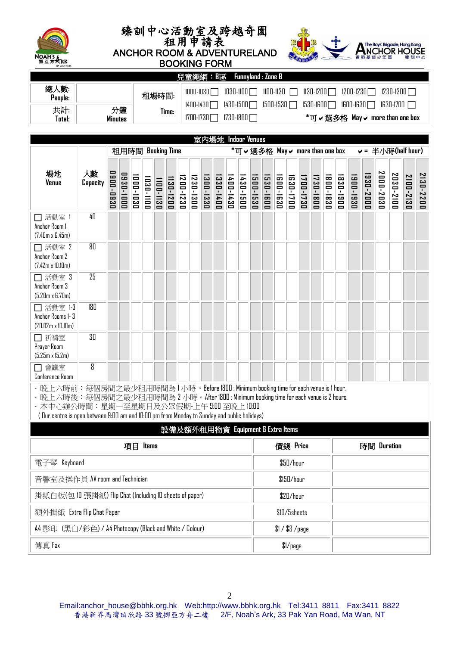





 BOOKING FORM 室內場地 **Indoor Venues** 兒童繩網:**B**區 **Funnyland : Zone B** 總人數**: People:** | **2007年 | 租場時間: Time:** 1000-1030 1030-1100 1100-1130 1130-1200 1200-1230 1230-1300 1400-1430 1430-1500 1500-1530 1530-1600 1600-1630 1630-1700 1700-1730 1730-1800 **\***可選多格 **May more than one box** 共計**: Total:** 分鐘 **Minutes**

|                                                                                                                                                                                                                                                                                                                       |                | 租用時間 Booking Time |           |           |           |                        |            |                        | *可 ✔ 選多格 May ✔ more than one box |             |           |           |                                   |           | v = 半小時(half hour) |          |              |           |           |          |             |          |           |           |           |           |           |
|-----------------------------------------------------------------------------------------------------------------------------------------------------------------------------------------------------------------------------------------------------------------------------------------------------------------------|----------------|-------------------|-----------|-----------|-----------|------------------------|------------|------------------------|----------------------------------|-------------|-----------|-----------|-----------------------------------|-----------|--------------------|----------|--------------|-----------|-----------|----------|-------------|----------|-----------|-----------|-----------|-----------|-----------|
| 場地<br><b>Venue</b>                                                                                                                                                                                                                                                                                                    | 人數<br>Capacity | 0900-0930         | 0930-1000 | 1000-1030 | 1030-1100 | 1130-1200<br>1100-1130 |            | 1230-1300<br>1200-1230 |                                  | 1300-1330   | 1330-1400 | 1400-1430 | 1430-1500                         | 1500-1530 | 1530-1600          | 600-1630 | 630-1700     | 1700-1730 | 1730-1800 | 800-1830 | 830-1900    | 900-1930 | 1930-2000 | 2000-2030 | 2030-2100 | 2100-2130 | 2130-2200 |
| □ 活動室<br>Anchor Room 1<br>$(7.40m \times 6.45m)$                                                                                                                                                                                                                                                                      | 40             |                   |           |           |           |                        |            |                        |                                  |             |           |           |                                   |           |                    |          |              |           |           |          |             |          |           |           |           |           |           |
| □ 活動室 2<br>Anchor Room 2<br>$(7.42m \times 10.10m)$                                                                                                                                                                                                                                                                   | 80             |                   |           |           |           |                        |            |                        |                                  |             |           |           |                                   |           |                    |          |              |           |           |          |             |          |           |           |           |           |           |
| □ 活動室 3<br>Anchor Room 3<br>$(5.20m \times 6.70m)$                                                                                                                                                                                                                                                                    | 25             |                   |           |           |           |                        |            |                        |                                  |             |           |           |                                   |           |                    |          |              |           |           |          |             |          |           |           |           |           |           |
| □ 活動室 1-3<br>Anchor Rooms 1-3<br>$(20.02m \times 10.10m)$                                                                                                                                                                                                                                                             | 180            |                   |           |           |           |                        |            |                        |                                  |             |           |           |                                   |           |                    |          |              |           |           |          |             |          |           |           |           |           |           |
| □ 祈禱室<br>Prayer Room<br>$(5.25m \times 15.2m)$                                                                                                                                                                                                                                                                        | 30             |                   |           |           |           |                        |            |                        |                                  |             |           |           |                                   |           |                    |          |              |           |           |          |             |          |           |           |           |           |           |
| □ 會議室<br>Conference Room                                                                                                                                                                                                                                                                                              | 8              |                   |           |           |           |                        |            |                        |                                  |             |           |           |                                   |           |                    |          |              |           |           |          |             |          |           |           |           |           |           |
| - 晚上六時前:每個房間之最少租用時間為1小時。Before 1800:Minimum booking time for each venue is 1 hour.<br>- 晚上六時後:每個房間之最少租用時間為 2 小時。After 1800:Minimum booking time for each venue is 2 hours.<br>- 本中心辦公時間:星期一至星期日及公眾假期-上午 9:00 至晚上 10:00<br>(Our centre is open between 9:00 am and 10:00 pm from Monday to Sunday and public holidays) |                |                   |           |           |           |                        |            |                        |                                  |             |           |           |                                   |           |                    |          |              |           |           |          |             |          |           |           |           |           |           |
|                                                                                                                                                                                                                                                                                                                       |                |                   |           |           |           |                        |            |                        |                                  |             |           |           | 設備及額外租用物資 Equipment & Extra Items |           |                    |          |              |           |           |          |             |          |           |           |           |           |           |
|                                                                                                                                                                                                                                                                                                                       |                |                   |           | 項目 Items  |           |                        |            |                        |                                  |             |           |           |                                   |           | 價錢 Price           |          |              |           |           |          | 時間 Duration |          |           |           |           |           |           |
| 電子琴 Keyboard                                                                                                                                                                                                                                                                                                          |                |                   |           |           |           |                        |            |                        |                                  | \$50/hour   |           |           |                                   |           |                    |          |              |           |           |          |             |          |           |           |           |           |           |
| 音響室及操作員 AV room and Technician                                                                                                                                                                                                                                                                                        |                |                   |           |           |           |                        | \$150/hour |                        |                                  |             |           |           |                                   |           |                    |          |              |           |           |          |             |          |           |           |           |           |           |
| 掛紙白板(包 10 張掛紙) Flip Chat (Including ID sheets of paper)                                                                                                                                                                                                                                                               |                |                   |           |           |           |                        |            |                        |                                  | $$20/h$ our |           |           |                                   |           |                    |          |              |           |           |          |             |          |           |           |           |           |           |
| 額外掛紙 Extra Flip Chat Paper                                                                                                                                                                                                                                                                                            |                |                   |           |           |           |                        |            |                        |                                  |             |           |           |                                   |           |                    |          | \$10/5sheets |           |           |          |             |          |           |           |           |           |           |
| A4 影印 (黑白/彩色) / A4 Photocopy (Black and White / Colour)                                                                                                                                                                                                                                                               |                |                   |           |           |           |                        |            |                        |                                  |             |           |           | \$1 / \$3 / page                  |           |                    |          |              |           |           |          |             |          |           |           |           |           |           |
| 傳真 Fax                                                                                                                                                                                                                                                                                                                |                |                   |           |           |           |                        | 1/page     |                        |                                  |             |           |           |                                   |           |                    |          |              |           |           |          |             |          |           |           |           |           |           |